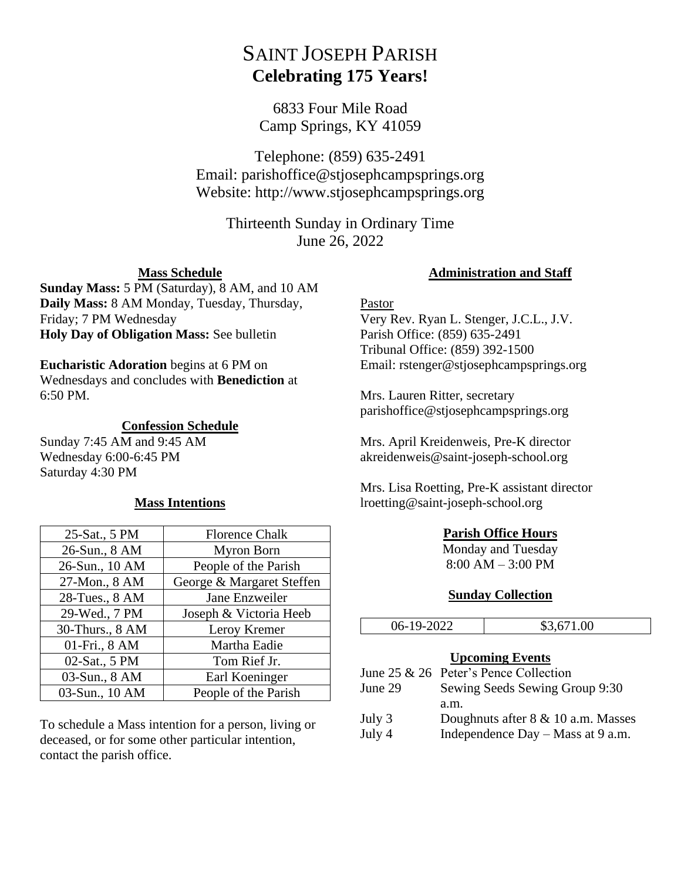# SAINT JOSEPH PARISH **Celebrating 175 Years!**

6833 Four Mile Road Camp Springs, KY 41059

Telephone: (859) 635-2491 Email: parishoffice@stjosephcampsprings.org Website: http://www.stjosephcampsprings.org

> Thirteenth Sunday in Ordinary Time June 26, 2022

## **Mass Schedule**

**Sunday Mass:** 5 PM (Saturday), 8 AM, and 10 AM **Daily Mass:** 8 AM Monday, Tuesday, Thursday, Friday; 7 PM Wednesday **Holy Day of Obligation Mass:** See bulletin

#### **Eucharistic Adoration** begins at 6 PM on

Wednesdays and concludes with **Benediction** at 6:50 PM.

#### **Confession Schedule**

Sunday 7:45 AM and 9:45 AM Wednesday 6:00-6:45 PM Saturday 4:30 PM

#### **Mass Intentions**

| 25-Sat., 5 PM   | <b>Florence Chalk</b>     |
|-----------------|---------------------------|
| 26-Sun., 8 AM   | Myron Born                |
| 26-Sun., 10 AM  | People of the Parish      |
| 27-Mon., 8 AM   | George & Margaret Steffen |
| 28-Tues., 8 AM  | Jane Enzweiler            |
| 29-Wed., 7 PM   | Joseph & Victoria Heeb    |
| 30-Thurs., 8 AM | Leroy Kremer              |
| 01-Fri., 8 AM   | Martha Eadie              |
| 02-Sat., 5 PM   | Tom Rief Jr.              |
| 03-Sun., 8 AM   | Earl Koeninger            |
| 03-Sun., 10 AM  | People of the Parish      |

To schedule a Mass intention for a person, living or deceased, or for some other particular intention, contact the parish office.

# **Administration and Staff**

#### Pastor

Very Rev. Ryan L. Stenger, J.C.L., J.V. Parish Office: (859) 635-2491 Tribunal Office: (859) 392-1500 Email: rstenger@stjosephcampsprings.org

Mrs. Lauren Ritter, secretary parishoffice@stjosephcampsprings.org

Mrs. April Kreidenweis, Pre-K director akreidenweis@saint-joseph-school.org

Mrs. Lisa Roetting, Pre-K assistant director lroetting@saint-joseph-school.org

## **Parish Office Hours**

Monday and Tuesday 8:00 AM – 3:00 PM

## **Sunday Collection**

| 06-19-2022 |      | \$3,671.00                              |
|------------|------|-----------------------------------------|
|            |      |                                         |
|            |      | <b>Upcoming Events</b>                  |
|            |      | June 25 $&$ 26 Peter's Pence Collection |
| June 29    |      | Sewing Seeds Sewing Group 9:30          |
|            | a.m. |                                         |
| July 3     |      | Doughnuts after $8 \& 10$ a.m. Masses   |
| July 4     |      | Independence $Day - Mass$ at 9 a.m.     |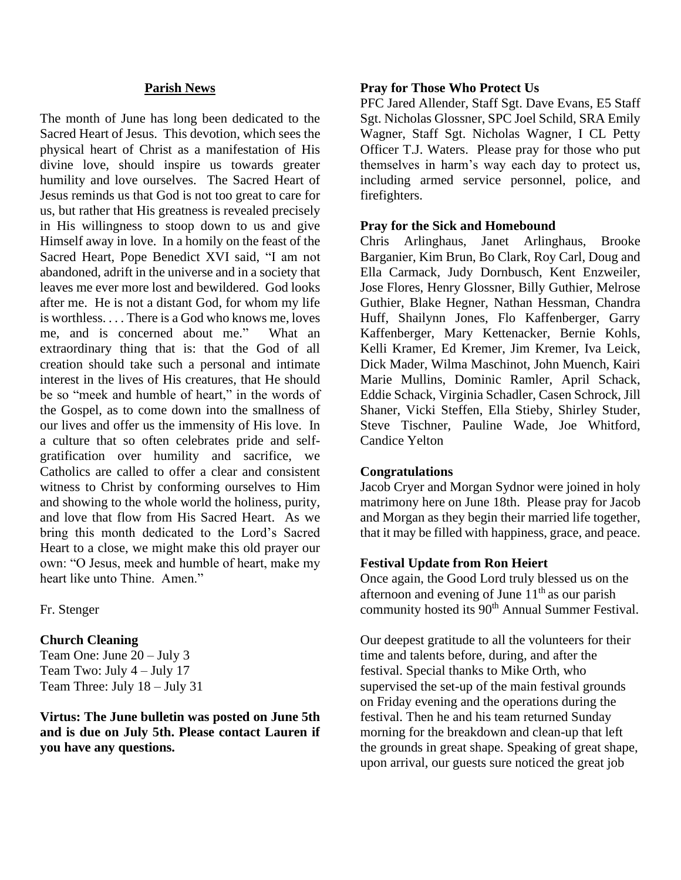#### **Parish News**

The month of June has long been dedicated to the Sacred Heart of Jesus. This devotion, which sees the physical heart of Christ as a manifestation of His divine love, should inspire us towards greater humility and love ourselves. The Sacred Heart of Jesus reminds us that God is not too great to care for us, but rather that His greatness is revealed precisely in His willingness to stoop down to us and give Himself away in love. In a homily on the feast of the Sacred Heart, Pope Benedict XVI said, "I am not abandoned, adrift in the universe and in a society that leaves me ever more lost and bewildered. God looks after me. He is not a distant God, for whom my life is worthless. . . . There is a God who knows me, loves me, and is concerned about me." What an extraordinary thing that is: that the God of all creation should take such a personal and intimate interest in the lives of His creatures, that He should be so "meek and humble of heart," in the words of the Gospel, as to come down into the smallness of our lives and offer us the immensity of His love. In a culture that so often celebrates pride and selfgratification over humility and sacrifice, we Catholics are called to offer a clear and consistent witness to Christ by conforming ourselves to Him and showing to the whole world the holiness, purity, and love that flow from His Sacred Heart. As we bring this month dedicated to the Lord's Sacred Heart to a close, we might make this old prayer our own: "O Jesus, meek and humble of heart, make my heart like unto Thine. Amen."

Fr. Stenger

## **Church Cleaning**

Team One: June 20 – July 3 Team Two: July 4 – July 17 Team Three: July 18 – July 31

**Virtus: The June bulletin was posted on June 5th and is due on July 5th. Please contact Lauren if you have any questions.**

#### **Pray for Those Who Protect Us**

PFC Jared Allender, Staff Sgt. Dave Evans, E5 Staff Sgt. Nicholas Glossner, SPC Joel Schild, SRA Emily Wagner, Staff Sgt. Nicholas Wagner, I CL Petty Officer T.J. Waters. Please pray for those who put themselves in harm's way each day to protect us, including armed service personnel, police, and firefighters.

## **Pray for the Sick and Homebound**

Chris Arlinghaus, Janet Arlinghaus, Brooke Barganier, Kim Brun, Bo Clark, Roy Carl, Doug and Ella Carmack, Judy Dornbusch, Kent Enzweiler, Jose Flores, Henry Glossner, Billy Guthier, Melrose Guthier, Blake Hegner, Nathan Hessman, Chandra Huff, Shailynn Jones, Flo Kaffenberger, Garry Kaffenberger, Mary Kettenacker, Bernie Kohls, Kelli Kramer, Ed Kremer, Jim Kremer, Iva Leick, Dick Mader, Wilma Maschinot, John Muench, Kairi Marie Mullins, Dominic Ramler, April Schack, Eddie Schack, Virginia Schadler, Casen Schrock, Jill Shaner, Vicki Steffen, Ella Stieby, Shirley Studer, Steve Tischner, Pauline Wade, Joe Whitford, Candice Yelton

## **Congratulations**

Jacob Cryer and Morgan Sydnor were joined in holy matrimony here on June 18th. Please pray for Jacob and Morgan as they begin their married life together, that it may be filled with happiness, grace, and peace.

## **Festival Update from Ron Heiert**

Once again, the Good Lord truly blessed us on the afternoon and evening of June  $11<sup>th</sup>$  as our parish community hosted its 90<sup>th</sup> Annual Summer Festival.

Our deepest gratitude to all the volunteers for their time and talents before, during, and after the festival. Special thanks to Mike Orth, who supervised the set-up of the main festival grounds on Friday evening and the operations during the festival. Then he and his team returned Sunday morning for the breakdown and clean-up that left the grounds in great shape. Speaking of great shape, upon arrival, our guests sure noticed the great job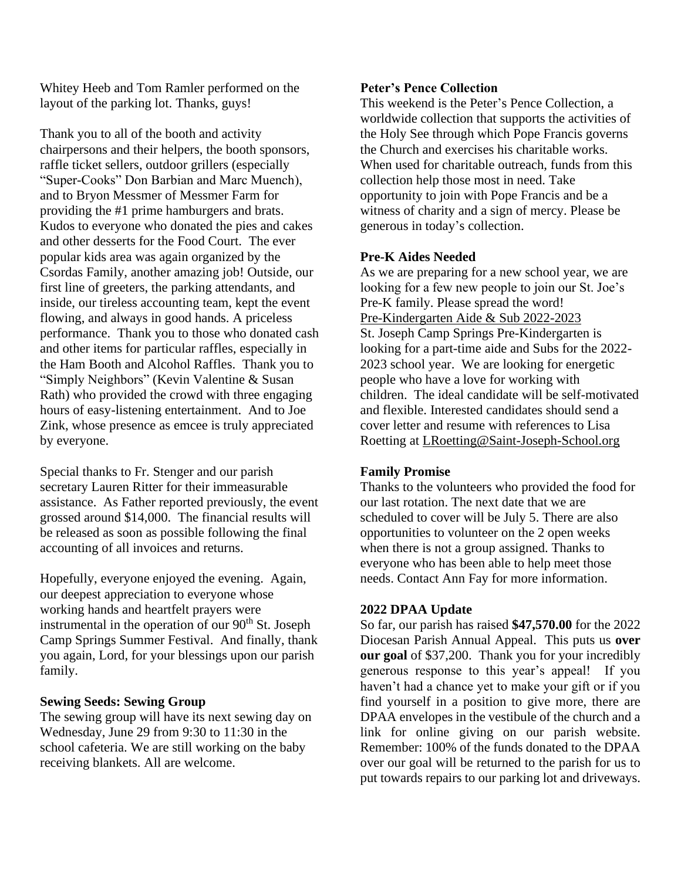Whitey Heeb and Tom Ramler performed on the layout of the parking lot. Thanks, guys!

Thank you to all of the booth and activity chairpersons and their helpers, the booth sponsors, raffle ticket sellers, outdoor grillers (especially "Super-Cooks" Don Barbian and Marc Muench), and to Bryon Messmer of Messmer Farm for providing the #1 prime hamburgers and brats. Kudos to everyone who donated the pies and cakes and other desserts for the Food Court. The ever popular kids area was again organized by the Csordas Family, another amazing job! Outside, our first line of greeters, the parking attendants, and inside, our tireless accounting team, kept the event flowing, and always in good hands. A priceless performance. Thank you to those who donated cash and other items for particular raffles, especially in the Ham Booth and Alcohol Raffles. Thank you to "Simply Neighbors" (Kevin Valentine & Susan Rath) who provided the crowd with three engaging hours of easy-listening entertainment. And to Joe Zink, whose presence as emcee is truly appreciated by everyone.

Special thanks to Fr. Stenger and our parish secretary Lauren Ritter for their immeasurable assistance. As Father reported previously, the event grossed around \$14,000. The financial results will be released as soon as possible following the final accounting of all invoices and returns.

Hopefully, everyone enjoyed the evening. Again, our deepest appreciation to everyone whose working hands and heartfelt prayers were instrumental in the operation of our  $90<sup>th</sup>$  St. Joseph Camp Springs Summer Festival. And finally, thank you again, Lord, for your blessings upon our parish family.

#### **Sewing Seeds: Sewing Group**

The sewing group will have its next sewing day on Wednesday, June 29 from 9:30 to 11:30 in the school cafeteria. We are still working on the baby receiving blankets. All are welcome.

#### **Peter's Pence Collection**

This weekend is the Peter's Pence Collection, a worldwide collection that supports the activities of the Holy See through which Pope Francis governs the Church and exercises his charitable works. When used for charitable outreach, funds from this collection help those most in need. Take opportunity to join with Pope Francis and be a witness of charity and a sign of mercy. Please be generous in today's collection.

## **Pre-K Aides Needed**

As we are preparing for a new school year, we are looking for a few new people to join our St. Joe's Pre-K family. Please spread the word! Pre-Kindergarten Aide & Sub 2022-2023 St. Joseph Camp Springs Pre-Kindergarten is looking for a part-time aide and Subs for the 2022- 2023 school year. We are looking for energetic people who have a love for working with children. The ideal candidate will be self-motivated and flexible. Interested candidates should send a cover letter and resume with references to Lisa Roetting at [LRoetting@Saint-Joseph-School.org](mailto:LRoetting@Saint-Joseph-School.org)

## **Family Promise**

Thanks to the volunteers who provided the food for our last rotation. The next date that we are scheduled to cover will be July 5. There are also opportunities to volunteer on the 2 open weeks when there is not a group assigned. Thanks to everyone who has been able to help meet those needs. Contact Ann Fay for more information.

#### **2022 DPAA Update**

So far, our parish has raised **\$47,570.00** for the 2022 Diocesan Parish Annual Appeal. This puts us **over our goal** of \$37,200. Thank you for your incredibly generous response to this year's appeal! If you haven't had a chance yet to make your gift or if you find yourself in a position to give more, there are DPAA envelopes in the vestibule of the church and a link for online giving on our parish website. Remember: 100% of the funds donated to the DPAA over our goal will be returned to the parish for us to put towards repairs to our parking lot and driveways.